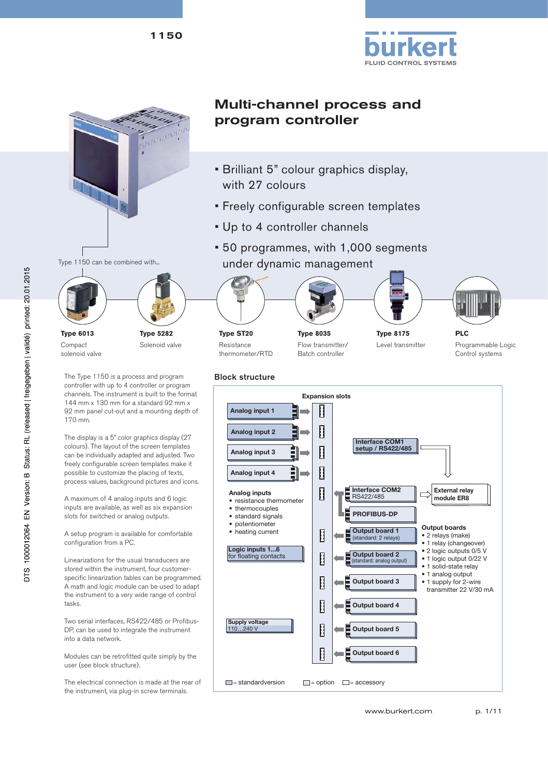







Compact solenoid valve

**Type 5282** Solenoid valve

The Type 1150 is a process and program controller with up to 4 controller or program channels. The instrument is built to the format 144 mm x 130 mm for a standard 92 mm x 92 mm panel cut-out and a mounting depth of 170 mm.

The display is a 5" color graphics display (27 colours). The layout of the screen templates can be individually adapted and adjusted. Two freely configurable screen templates make it possible to customize the placing of texts, process values, background pictures and icons.

A maximum of 4 analog inputs and 6 logic inputs are available, as well as six expansion slots for switched or analog outputs.

A setup program is available for comfortable configuration from a PC.

Linearizations for the usual transducers are stored within the instrument, four customerspecific linearization tables can be programmed. A math and logic module can be used to adapt the instrument to a very wide range of control tasks.

Two serial interfaces, RS422/485 or Profibus-DP, can be used to integrate the instrument into a data network.

Modules can be retrofitted quite simply by the user (see block structure).

The electrical connection is made at the rear of the instrument, via plug-in screw terminals.

# Multi-channel process and program controller

- Brilliant 5" colour graphics display, with 27 colours
- Freely configurable screen templates
- Up to 4 controller channels
- 50 programmes, with 1,000 segments under dynamic management











**Type ST20** Resistance thermometer/RTD

**Type 8035** Flow transmitter/ Batch controller

**Type 8175** Level transmitter

**PLC** Programmable Logic Control systems

Block structure **Expansion slots Analog input 1**  Ш Ш **Analog input 2 Interface COM1 setup / RS422/485 Analog input 3**  U **Analog input 4** Ш **Interface COM2 External relay Analog inputs** Ľ RS422/485 **module ER8** • resistance thermometer • thermocouples **PROFIBUS-DP** • standard signals • potentiometer • potentiometer<br>• heating current **output boards output boards output boards output boards output boards output boards output boards Output board 1**  · 2 relays (make) (standard: 2 relays) 1 relay (changeover) **Logic inputs 1...6** • 2 logic outputs 0/5 V for floating contacts П **Output board 2**  (standard: analog output) • 1 logic output 0/22 V · 1 solid-state relay 1 analog output **Output board 3**  Ш 1 supply for 2-wire transmitter 22 V/30 mA Ш **Output board 4 Supply voltage** 110…240 V Л **Output board 5 Output board 6**   $\Box$  = standardversion  $=$  option  $\Box$  = accessory

www.burkert.com p. 1/11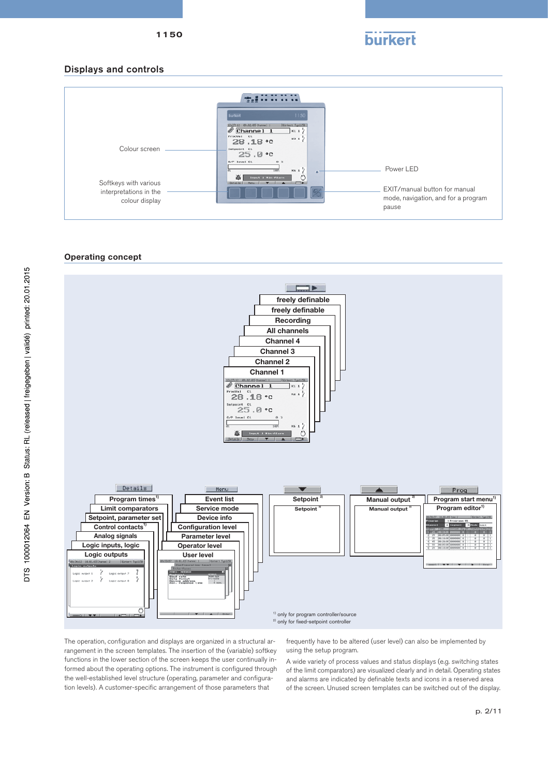

#### Displays and controls



#### **Operating concept**



The operation, configuration and displays are organized in a structural arrangement in the screen templates. The insertion of the (variable) softkey functions in the lower section of the screen keeps the user continually informed about the operating options. The instrument is configured through the well-established level structure (operating, parameter and configuration levels). A customer-specific arrangement of those parameters that

frequently have to be altered (user level) can also be implemented by using the setup program.

A wide variety of process values and status displays (e.g. switching states of the limit comparators) are visualized clearly and in detail. Operating states and alarms are indicated by definable texts and icons in a reserved area of the screen. Unused screen templates can be switched out of the display.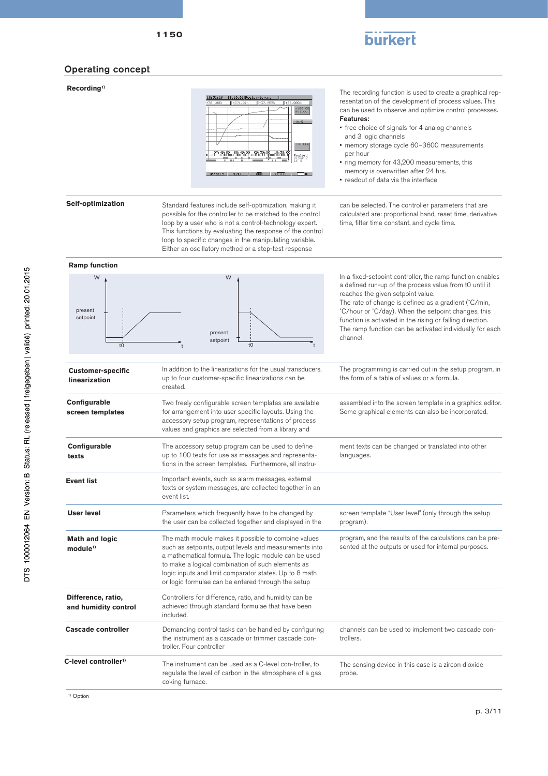

# Operating concept

# **Recording1)**

| +78.168% | +274.00%   | $+37.953%$ |          | $+38.000%$ |                            |
|----------|------------|------------|----------|------------|----------------------------|
|          |            |            |          |            | $+100.00$<br>Analog        |
|          |            |            |          |            | 1h/R.                      |
|          |            |            |          |            |                            |
|          |            |            |          |            |                            |
|          |            |            |          |            | +70.000                    |
| 07:49:00 | A8: 49: AR | A9:5A: AR  | 10:50:00 |            |                            |
| ī        |            | ī          |          |            | Regler1<br>Binar 2<br>LK 4 |

The recording function is used to create a graphical representation of the development of process values. This can be used to observe and optimize control processes.

#### Features:

- free choice of signals for 4 analog channels and 3 logic channels
- memory storage cycle 60–3600 measurements per hour
- ring memory for 43,200 measurements, this memory is overwritten after 24 hrs.
- readout of data via the interface

#### **Self-optimization**

Standard features include self-optimization, making it possible for the controller to be matched to the control loop by a user who is not a control-technology expert. This functions by evaluating the response of the control loop to specific changes in the manipulating variable. Either an oscillatory method or a step-test response

#### can be selected. The controller parameters that are calculated are: proportional band, reset time, derivative time, filter time constant, and cycle time.

#### **Ramp function**

| W<br>present<br>setpoint<br>t0                                                                                                                                         | W<br>present<br>setpoint<br>$10$                                                                                                                                                                                                                                                                                                           | In a fixed-setpoint controller, the ramp function enables<br>a defined run-up of the process value from tO until it<br>reaches the given setpoint value.<br>The rate of change is defined as a gradient (°C/min,<br>°C/hour or °C/day). When the setpoint changes, this<br>function is activated in the rising or falling direction.<br>The ramp function can be activated individually for each<br>channel. |
|------------------------------------------------------------------------------------------------------------------------------------------------------------------------|--------------------------------------------------------------------------------------------------------------------------------------------------------------------------------------------------------------------------------------------------------------------------------------------------------------------------------------------|--------------------------------------------------------------------------------------------------------------------------------------------------------------------------------------------------------------------------------------------------------------------------------------------------------------------------------------------------------------------------------------------------------------|
| <b>Customer-specific</b><br>linearization                                                                                                                              | In addition to the linearizations for the usual transducers,<br>up to four customer-specific linearizations can be<br>created.                                                                                                                                                                                                             | The programming is carried out in the setup program, in<br>the form of a table of values or a formula.                                                                                                                                                                                                                                                                                                       |
| Configurable<br>screen templates                                                                                                                                       | Two freely configurable screen templates are available<br>for arrangement into user specific layouts. Using the<br>accessory setup program, representations of process<br>values and graphics are selected from a library and                                                                                                              | assembled into the screen template in a graphics editor.<br>Some graphical elements can also be incorporated.                                                                                                                                                                                                                                                                                                |
| Configurable<br>texts                                                                                                                                                  | The accessory setup program can be used to define<br>up to 100 texts for use as messages and representa-<br>tions in the screen templates. Furthermore, all instru-                                                                                                                                                                        | ment texts can be changed or translated into other<br>languages.                                                                                                                                                                                                                                                                                                                                             |
| <b>Event list</b>                                                                                                                                                      | Important events, such as alarm messages, external<br>texts or system messages, are collected together in an<br>event list.                                                                                                                                                                                                                |                                                                                                                                                                                                                                                                                                                                                                                                              |
| <b>User level</b>                                                                                                                                                      | Parameters which frequently have to be changed by<br>the user can be collected together and displayed in the                                                                                                                                                                                                                               | screen template "User level" (only through the setup<br>program).                                                                                                                                                                                                                                                                                                                                            |
| <b>Math and logic</b><br>module <sup>1</sup>                                                                                                                           | The math module makes it possible to combine values<br>such as setpoints, output levels and measurements into<br>a mathematical formula. The logic module can be used<br>to make a logical combination of such elements as<br>logic inputs and limit comparator states. Up to 8 math<br>or logic formulae can be entered through the setup | program, and the results of the calculations can be pre-<br>sented at the outputs or used for internal purposes.                                                                                                                                                                                                                                                                                             |
| Controllers for difference, ratio, and humidity can be<br>Difference, ratio,<br>achieved through standard formulae that have been<br>and humidity control<br>included. |                                                                                                                                                                                                                                                                                                                                            |                                                                                                                                                                                                                                                                                                                                                                                                              |
| Cascade controller                                                                                                                                                     | Demanding control tasks can be handled by configuring<br>the instrument as a cascade or trimmer cascade con-<br>troller. Four controller                                                                                                                                                                                                   | channels can be used to implement two cascade con-<br>trollers.                                                                                                                                                                                                                                                                                                                                              |
| C-level controller <sup>1)</sup>                                                                                                                                       | The instrument can be used as a C-level con-troller, to<br>regulate the level of carbon in the atmosphere of a gas<br>coking furnace.                                                                                                                                                                                                      | The sensing device in this case is a zircon dioxide<br>probe.                                                                                                                                                                                                                                                                                                                                                |
| <sup>1)</sup> Option                                                                                                                                                   |                                                                                                                                                                                                                                                                                                                                            |                                                                                                                                                                                                                                                                                                                                                                                                              |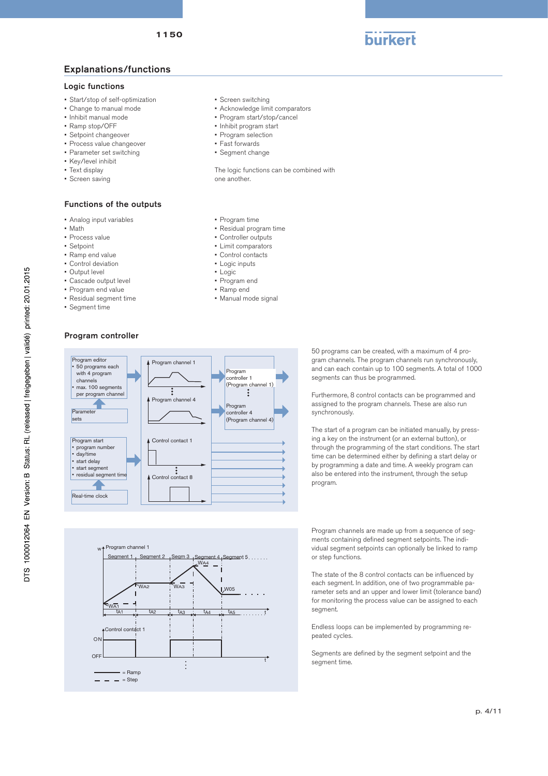# Explanations/functions

#### Logic functions

- Start/stop of self-optimization
- Change to manual mode
- Inhibit manual mode
- Ramp stop/OFF
- Setpoint changeover
- Process value changeover
- Parameter set switching
- Key/level inhibit
- Text display
- Screen saving

#### Functions of the outputs

- Analog input variables
- Math
- Process value
- Setpoint
- Ramp end value
- Control deviation
- Output level
- Cascade output level
- Program end value
- Residual segment time
- Segment time
- Screen switching
- Acknowledge limit comparators
- Program start/stop/cancel
- Inhibit program start
- Program selection
- Fast forwards
- Segment change
- 

The logic functions can be combined with one another.

- Program time
- Residual program time
- Controller outputs
- Limit comparators
- Control contacts
- Logic inputs
- Logic
- Program end
- Ramp end
- Manual mode signal

#### Program controller

Control contact 1

 $=$  Step  $=$  Ramp

 $W_{\text{M22}}$ 

A1 ta2 i ta3 i ta4 i ta5

 $\vdots$ 

t  $W_{\mathbf{A}}$ 

Segment 1

Program channel 1

ON **OFF** 

w



WA4

W05

Segment 4, Segment 5

 $\frac{t_{A5}}{t_{A5}}$  ........

t

Program channels are made up from a sequence of segments containing defined segment setpoints. The individual segment setpoints can optionally be linked to ramp or step functions.

The state of the 8 control contacts can be influenced by each segment. In addition, one of two programmable parameter sets and an upper and lower limit (tolerance band) for monitoring the process value can be assigned to each segment.

Endless loops can be implemented by programming repeated cycles.

Segments are defined by the segment setpoint and the segment time.

gram channels. The program channels run synchronously, and can each contain up to 100 segments. A total of 1000 segments can thus be programmed. synchronously.

program.

Furthermore, 8 control contacts can be programmed and

50 programs can be created, with a maximum of 4 pro-

assigned to the program channels. These are also run

The start of a program can be initiated manually, by pressing a key on the instrument (or an external button), or through the programming of the start conditions. The start time can be determined either by defining a start delay or by programming a date and time. A weekly program can also be entered into the instrument, through the setup

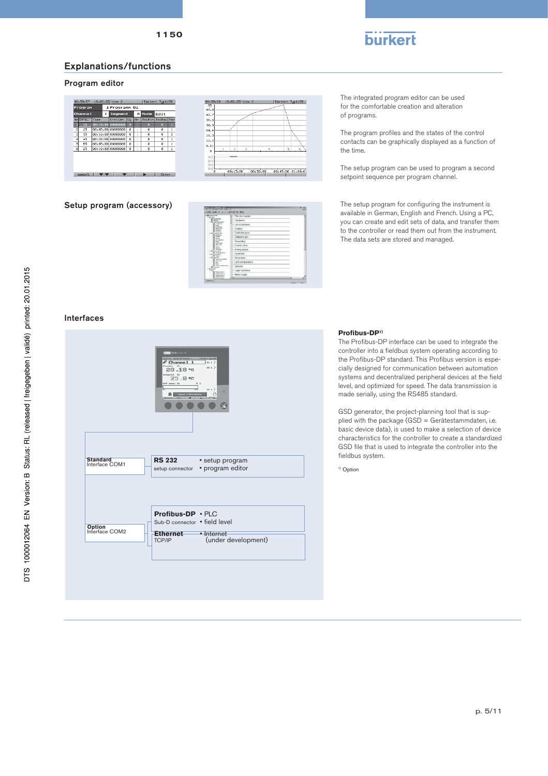

# Explanations/functions

### Program editor



| when this church was hintly<br>The 14 Statester Edge Video Mt.<br>미래 여 분이 아니 이 지역에 이 일이 되었다. |                         | <b>DELIVEER</b><br>ALC U |
|----------------------------------------------------------------------------------------------|-------------------------|--------------------------|
| 18 Four Le R<br><b>Nicked</b>                                                                | All . File info header: |                          |
| <b>United</b><br><b><i><u>Senatora lugendos</u></i></b>                                      | - Handyara              |                          |
| Le d'anyon<br><b>Santa</b>                                                                   | · List of pictures:     |                          |
| <b><i><u>Interdience</u></i></b><br>ducks at.<br><b>Marketin</b>                             | - Display:              |                          |
| min<br><b><i><u>Extended</u></i></b><br><b>José a cur</b>                                    | · Controller pics.:     |                          |
| <b>Links</b><br><b>Installation</b>                                                          | · Collective pic.:      |                          |
| <b><i><u>Information</u></i></b><br><b>Transit</b><br><b>Leak System</b>                     | · Recording             |                          |
| <b>Bull / Link</b><br><b>Calculation</b>                                                     | · Custom pics.:         |                          |
| <b>Send Artist</b><br>Text & Adv<br>in the Parameters'                                       | · Analog inputs:        |                          |
| <b><i>Contractor construction</i></b><br><b>ALCO COMMERCIAL</b><br><b>Chairs</b>             | · Controller            |                          |
| in the line of<br><b>Laborations</b>                                                         | · Generator:            |                          |
| <b>Genet Artist</b><br>i.<br><b>Target</b>                                                   | · Limit comparators:    |                          |
| <b>Collacion Advisorments</b><br><b>Seattle Seat</b>                                         | · Outputs:              |                          |
| <b>Ni Provinc</b><br>Registered 1                                                            | - Logic functions:      |                          |
| <b>Nummerhand 7</b><br><b>Real and America</b><br><b>Business Executive</b>                  | · Math / Logic:         |                          |
| book on the c<br>Clusters.                                                                   | ala                     |                          |

 $t$  Tup1150

The integrated program editor can be used for the comfortable creation and alteration of programs.

The program profiles and the states of the control contacts can be graphically displayed as a function of the time.

The setup program can be used to program a second setpoint sequence per program channel.

Setup program (accessory) The setup program for configuring the instrument is available in German, English and French. Using a PC, you can create and edit sets of data, and transfer them to the controller or read them out from the instrument. The data sets are stored and managed.

#### Interfaces



#### **Profi bus-DP1)**

The Profibus-DP interface can be used to integrate the controller into a fieldbus system operating according to the Profibus-DP standard. This Profibus version is especially designed for communication between automation systems and decentralized peripheral devices at the field level, and optimized for speed. The data transmission is made serially, using the RS485 standard.

GSD generator, the project-planning tool that is supplied with the package (GSD = Gerätestammdaten, i.e. basic device data), is used to make a selection of device characteristics for the controller to create a standardized GSD file that is used to integrate the controller into the fieldbus system.

<sup>1)</sup> Option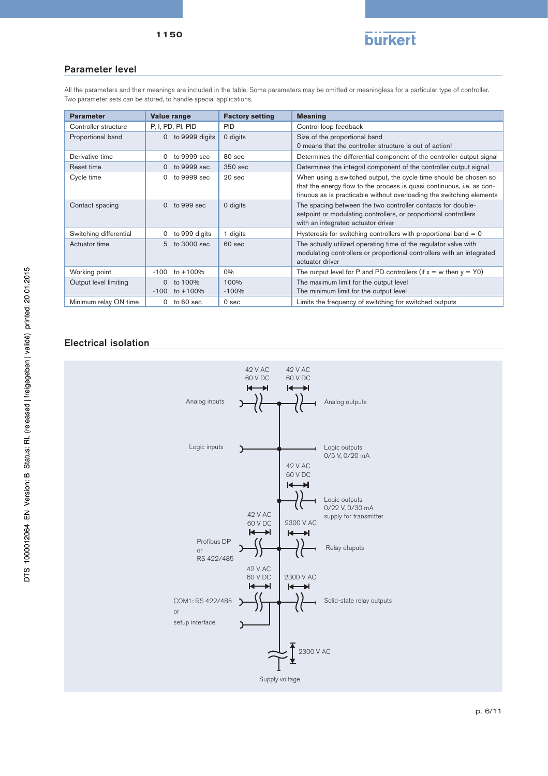

# 1150

## Parameter level

All the parameters and their meanings are included in the table. Some parameters may be omitted or meaningless for a particular type of controller. Two parameter sets can be stored, to handle special applications.

| <b>Parameter</b>       | Value range                                   | <b>Factory setting</b> | <b>Meaning</b>                                                                                                                                                                                                    |
|------------------------|-----------------------------------------------|------------------------|-------------------------------------------------------------------------------------------------------------------------------------------------------------------------------------------------------------------|
| Controller structure   | P, I, PD, PI, PID                             | <b>PID</b>             | Control loop feedback                                                                                                                                                                                             |
| Proportional band      | to 9999 digits<br>$\mathbf{0}$                | 0 digits               | Size of the proportional band<br>0 means that the controller structure is out of action!                                                                                                                          |
| Derivative time        | to 9999 sec<br>0                              | 80 <sub>sec</sub>      | Determines the differential component of the controller output signal                                                                                                                                             |
| Reset time             | to 9999 sec<br>$\Omega$                       | 350 sec                | Determines the integral component of the controller output signal                                                                                                                                                 |
| Cycle time             | to 9999 sec<br>0                              | 20 sec                 | When using a switched output, the cycle time should be chosen so<br>that the energy flow to the process is quasi continuous, i.e. as con-<br>tinuous as is practicable without overloading the switching elements |
| Contact spacing        | $\Omega$<br>to 999 sec                        | 0 digits               | The spacing between the two controller contacts for double-<br>setpoint or modulating controllers, or proportional controllers<br>with an integrated actuator driver                                              |
| Switching differential | to 999 digits<br>0                            | 1 digits               | Hysteresis for switching controllers with proportional band $= 0$                                                                                                                                                 |
| Actuator time          | 5<br>to 3000 sec                              | $60$ sec               | The actually utilized operating time of the regulator valve with<br>modulating controllers or proportional controllers with an integrated<br>actuator driver                                                      |
| Working point          | $-100$<br>to +100%                            | $0\%$                  | The output level for P and PD controllers (if $x = w$ then $y = Y0$ )                                                                                                                                             |
| Output level limiting  | to 100%<br>$\mathbf{0}$<br>$-100$<br>to +100% | 100%<br>$-100%$        | The maximum limit for the output level<br>The minimum limit for the output level                                                                                                                                  |
| Minimum relay ON time  | $0$ to 60 sec                                 | 0 sec                  | Limits the frequency of switching for switched outputs                                                                                                                                                            |

# Electrical isolation

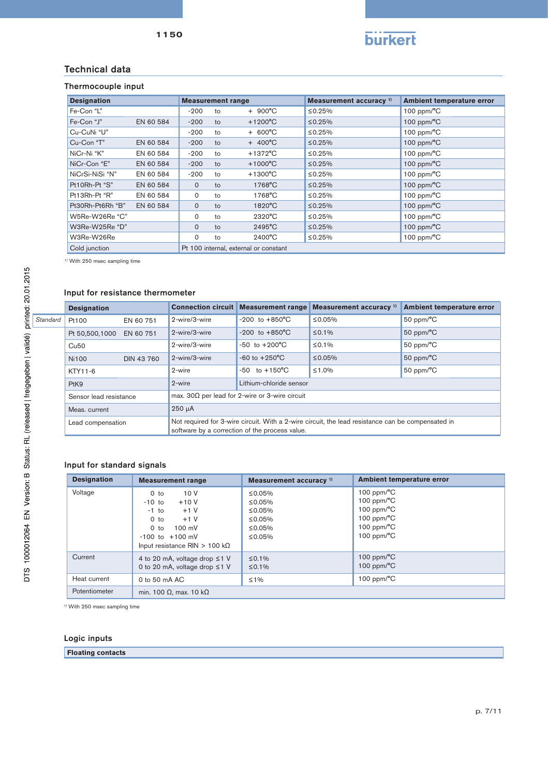

## Technical data

## Thermocouple input

| <b>Designation</b> |           | <b>Measurement range</b> |               |                                       | Measurement accuracy <sup>1)</sup> | Ambient temperature error  |
|--------------------|-----------|--------------------------|---------------|---------------------------------------|------------------------------------|----------------------------|
| Fe-Con "L"         |           | $-200$                   | to            | $+ 900^{\circ}$ C                     | ≤0.25%                             | 100 ppm/ $\rm ^{o}C$       |
| Fe-Con "J"         | EN 60 584 | $-200$                   | to            | $+1200$ °C                            | $\leq 0.25\%$                      | $100$ ppm/ $\textdegree$ C |
| Cu-CuNi "U"        |           | $-200$                   | to            | $+ 600^{\circ}$ C                     | ≤0.25%                             | 100 ppm/ $\rm ^{o}C$       |
| Cu-Con "T"         | EN 60 584 | $-200$                   | to            | $+ 400^{\circ}$ C                     | ≤0.25%                             | $100$ ppm/ $\textdegree$ C |
| NiCr-Ni "K"        | EN 60 584 | $-200$                   | to            | $+1372$ °C                            | ≤0.25%                             | 100 ppm/ $\rm ^{o}C$       |
| NiCr-Con "E"       | EN 60 584 | $-200$                   | to            | $+1000$ °C                            | ≤0.25%                             | 100 ppm/ $\rm ^{o}C$       |
| NiCrSi-NiSi "N"    | EN 60 584 | $-200$                   | to            | $+1300^{\circ}$ C                     | ≤0.25%                             | 100 ppm/ $\rm ^{o}C$       |
| Pt10Rh-Pt "S"      | EN 60 584 | $\mathbf{0}$             | to            | 1768°C                                | ≤0.25%                             | 100 ppm/ $\rm ^{o}C$       |
| Pt13Rh-Pt "R"      | EN 60 584 | $\Omega$                 | to            | 1768°C                                | ≤0.25%                             | 100 ppm/ $\rm ^{o}C$       |
| Pt30Rh-Pt6Rh "B"   | EN 60 584 | $\mathsf{O}$             | $\mathsf{to}$ | 1820°C                                | $\leq 0.25\%$                      | 100 ppm/ $\rm ^{o}C$       |
| W5Re-W26Re "C"     |           | 0                        | to            | $2320^{\circ}$ C                      | ≤0.25%                             | 100 ppm/ $\rm ^{o}C$       |
| W3Re-W25Re "D"     |           | $\Omega$                 | $\mathsf{to}$ | $2495^{\circ}$ C                      | $\leq 0.25\%$                      | 100 ppm/ $\rm ^{o}C$       |
| W3Re-W26Re         |           | 0                        | to            | $2400^{\circ}$ C                      | ≤0.25%                             | 100 ppm/ $\rm ^{o}C$       |
| Cold junction      |           |                          |               | Pt 100 internal, external or constant |                                    |                            |

<sup>1)</sup> With 250 msec sampling time

#### Input for resistance thermometer

|          | <b>Designation</b>           |                   | <b>Connection circuit</b> | Measurement range                                      | Measurement accuracy <sup>1)</sup>                                                                | Ambient temperature error |
|----------|------------------------------|-------------------|---------------------------|--------------------------------------------------------|---------------------------------------------------------------------------------------------------|---------------------------|
| Standard | Pt100                        | EN 60 751         | 2-wire/3-wire             | $-200$ to $+850^{\circ}$ C                             | ≤0.05%                                                                                            | $50$ ppm/ $\textdegree$ C |
|          | Pt 50,500,1000               | EN 60 751         | 2-wire/3-wire             | $-200$ to $+850^{\circ}$ C                             | ≤0.1%                                                                                             | $50$ ppm/ $\textdegree$ C |
|          | Cu50                         |                   | 2-wire/3-wire             | $-50$ to $+200^{\circ}$ C                              | ≤0.1%                                                                                             | $50$ ppm/ $\textdegree$ C |
|          | <b>Ni100</b>                 | <b>DIN 43 760</b> | 2-wire/3-wire             | $-60$ to $+250^{\circ}$ C                              | ≤0.05%                                                                                            | $50$ ppm/ $\textdegree$ C |
|          | KTY11-6                      |                   | 2-wire                    | $-50$ to $+150^{\circ}$ C                              | ≤1.0%                                                                                             | $50$ ppm/ $\textdegree$ C |
|          | PtK9                         |                   | 2-wire                    | Lithium-chloride sensor                                |                                                                                                   |                           |
|          | Sensor lead resistance       |                   |                           | max. 30 $\Omega$ per lead for 2-wire or 3-wire circuit |                                                                                                   |                           |
|          | $250 \mu A$<br>Meas, current |                   |                           |                                                        |                                                                                                   |                           |
|          | Lead compensation            |                   |                           | software by a correction of the process value.         | Not required for 3-wire circuit. With a 2-wire circuit, the lead resistance can be compensated in |                           |

#### Input for standard signals

| <b>Designation</b> | <b>Measurement range</b>                                                                                                                                                                            | Measurement accuracy <sup>1)</sup>                       | Ambient temperature error                                                                                                                          |
|--------------------|-----------------------------------------------------------------------------------------------------------------------------------------------------------------------------------------------------|----------------------------------------------------------|----------------------------------------------------------------------------------------------------------------------------------------------------|
| Voltage            | 10 V<br>0 <sub>to</sub><br>$+10V$<br>$-10$ to<br>$+1$ V<br>$-1$ to<br>$+1V$<br>0 <sub>to</sub><br>$100 \text{ mV}$<br>$0$ to<br>$-100$ to $+100$ mV<br>Input resistance RIN $> 100 \text{ k}\Omega$ | ≤0.05%<br>≤0.05%<br>≤0.05%<br>≤0.05%<br>≤0.05%<br>≤0.05% | 100 ppm/ $\rm ^{o}C$<br>$100$ ppm/ $\textdegree$ C<br>100 ppm/ $\rm ^{o}C$<br>100 ppm/ $\rm ^{o}C$<br>100 ppm/ $\rm ^{o}C$<br>100 ppm/ $\rm ^{o}C$ |
| Current            | 4 to 20 mA, voltage drop $\leq 1$ V<br>0 to 20 mA, voltage drop ≤1 V                                                                                                                                | ≤ 0.1%<br>≤0.1%                                          | 100 ppm/ $\rm ^{o}C$<br>$100$ ppm/ $\textdegree$ C                                                                                                 |
| Heat current       | 0 to 50 $mA$ AC                                                                                                                                                                                     | $\leq 1\%$                                               | 100 ppm/ $\rm ^{o}C$                                                                                                                               |
| Potentiometer      | min. 100 Ω, max. 10 kΩ                                                                                                                                                                              |                                                          |                                                                                                                                                    |

1) With 250 msec sampling time

#### Logic inputs

**Floating contacts**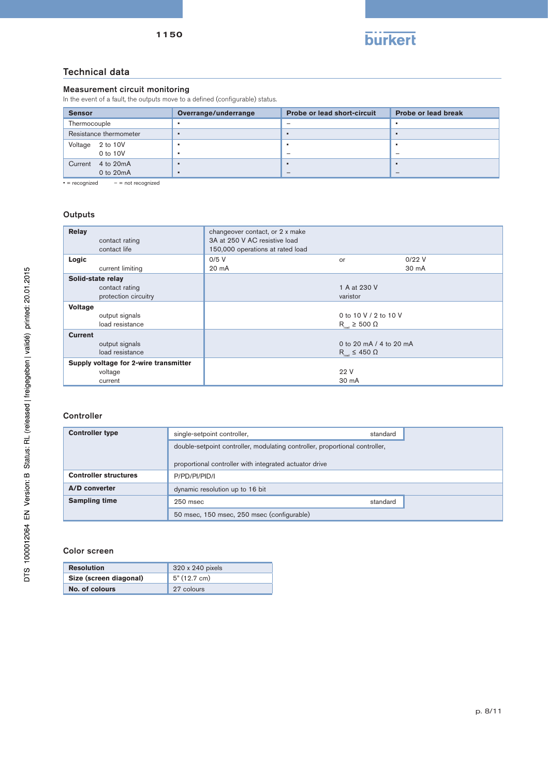

# Technical data

#### Measurement circuit monitoring

In the event of a fault, the outputs move to a defined (configurable) status.

| <b>Sensor</b> |                        | Overrange/underrange | <b>Probe or lead short-circuit</b> | <b>Probe or lead break</b> |
|---------------|------------------------|----------------------|------------------------------------|----------------------------|
| Thermocouple  |                        |                      | $\overline{\phantom{a}}$           |                            |
|               | Resistance thermometer |                      |                                    | $\blacksquare$             |
| Voltage       | 2 to 10V               |                      |                                    |                            |
|               | 0 to 10V               |                      | $\overline{\phantom{a}}$           | $\overline{\phantom{a}}$   |
| Current       | 4 to 20mA              |                      |                                    |                            |
|               | 0 to 20mA              |                      | $\sim$                             | $\overline{\phantom{a}}$   |

 $\bullet$  = recognized  $-$  = not recognized

#### **Outputs**

| Relay<br>contact rating<br>contact life | changeover contact, or 2 x make<br>3A at 250 V AC resistive load<br>150,000 operations at rated load |                                   |       |
|-----------------------------------------|------------------------------------------------------------------------------------------------------|-----------------------------------|-------|
| Logic                                   | $0/5$ V                                                                                              | or                                | 0/22V |
| current limiting                        | 20 mA                                                                                                |                                   | 30 mA |
| Solid-state relay                       |                                                                                                      |                                   |       |
| contact rating                          |                                                                                                      | 1 A at 230 V                      |       |
| protection circuitry                    |                                                                                                      | varistor                          |       |
| <b>Voltage</b>                          |                                                                                                      |                                   |       |
| output signals                          |                                                                                                      | 0 to 10 V / 2 to 10 V             |       |
| load resistance                         |                                                                                                      | $R_{\text{host}} \ge 500 \Omega$  |       |
| <b>Current</b>                          |                                                                                                      |                                   |       |
| output signals                          |                                                                                                      | 0 to 20 mA / 4 to 20 mA           |       |
| load resistance                         |                                                                                                      | $R_{\text{host}} \leq 450 \Omega$ |       |
| Supply voltage for 2-wire transmitter   |                                                                                                      |                                   |       |
| voltage                                 |                                                                                                      | 22 V                              |       |
| current                                 |                                                                                                      | 30 mA                             |       |

# **Controller**

| <b>Controller type</b>       | single-setpoint controller,                                                                                                           | standard |  |
|------------------------------|---------------------------------------------------------------------------------------------------------------------------------------|----------|--|
|                              | double-setpoint controller, modulating controller, proportional controller,<br>proportional controller with integrated actuator drive |          |  |
| <b>Controller structures</b> | P/PD/PI/PID/I                                                                                                                         |          |  |
| A/D converter                | dynamic resolution up to 16 bit                                                                                                       |          |  |
| <b>Sampling time</b>         | 250 msec                                                                                                                              | standard |  |
|                              | 50 msec, 150 msec, 250 msec (configurable)                                                                                            |          |  |

#### Color screen

| <b>Resolution</b>      | 320 x 240 pixels |
|------------------------|------------------|
| Size (screen diagonal) | 5" (12.7 cm)     |
| No. of colours         | 27 colours       |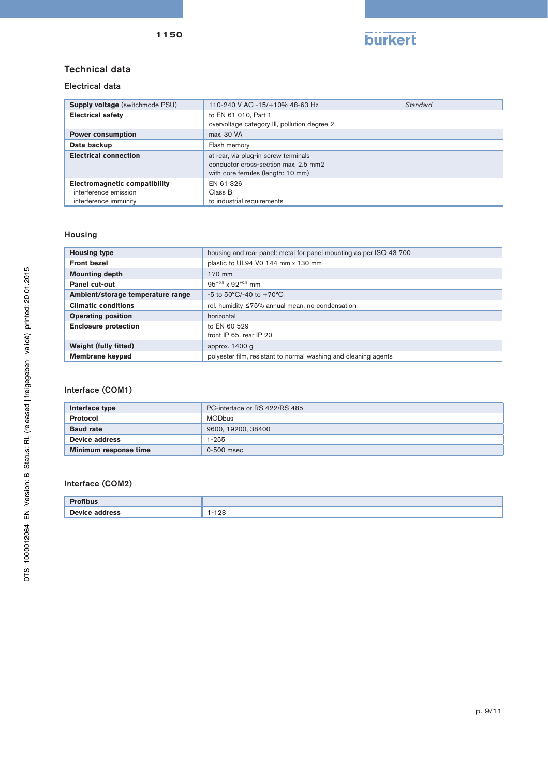

# Technical data

# Electrical data

| <b>Supply voltage</b> (switchmode PSU)                                                 | 110-240 V AC -15/+10% 48-63 Hz                                                                                     | Standard |
|----------------------------------------------------------------------------------------|--------------------------------------------------------------------------------------------------------------------|----------|
| <b>Electrical safety</b>                                                               | to EN 61 010, Part 1<br>overvoltage category III, pollution degree 2                                               |          |
| <b>Power consumption</b>                                                               | max. 30 VA                                                                                                         |          |
| Data backup                                                                            | Flash memory                                                                                                       |          |
| <b>Electrical connection</b>                                                           | at rear, via plug-in screw terminals<br>conductor cross-section max, 2.5 mm2<br>with core ferrules (length: 10 mm) |          |
| <b>Electromagnetic compatibility</b><br>interference emission<br>interference immunity | EN 61 326<br>Class B<br>to industrial requirements                                                                 |          |

## Housing

| <b>Housing type</b>               | housing and rear panel: metal for panel mounting as per ISO 43 700 |  |
|-----------------------------------|--------------------------------------------------------------------|--|
| <b>Front bezel</b>                | plastic to UL94 V0 144 mm x 130 mm                                 |  |
| <b>Mounting depth</b>             | 170 mm                                                             |  |
| <b>Panel cut-out</b>              | $95^{+0.8}$ x $92^{+0.8}$ mm                                       |  |
| Ambient/storage temperature range | $-5$ to 50°C/-40 to $+70$ °C                                       |  |
| <b>Climatic conditions</b>        | rel. humidity ≤75% annual mean, no condensation                    |  |
| <b>Operating position</b>         | horizontal                                                         |  |
| <b>Enclosure protection</b>       | to EN 60 529                                                       |  |
|                                   | front IP 65, rear IP 20                                            |  |
| Weight (fully fitted)             | approx. $1400$ g                                                   |  |
| Membrane keypad                   | polyester film, resistant to normal washing and cleaning agents    |  |

# Interface (COM1)

| Interface type        | PC-interface or RS 422/RS 485 |
|-----------------------|-------------------------------|
| <b>Protocol</b>       | <b>MODbus</b>                 |
| <b>Baud rate</b>      | 9600, 19200, 38400            |
| Device address        | 1-255                         |
| Minimum response time | 0-500 msec                    |

## Interface (COM2)

| <b>Profibus</b>       |        |
|-----------------------|--------|
| <b>Device address</b> | $-128$ |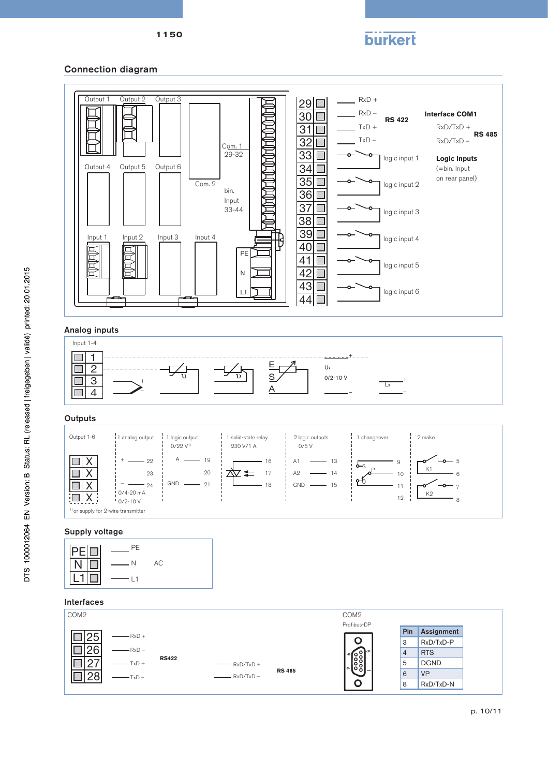

# Connection diagram





#### Supply voltage

| PE  |    |  |
|-----|----|--|
| N   | AC |  |
| l 1 |    |  |

## Interfaces



1150